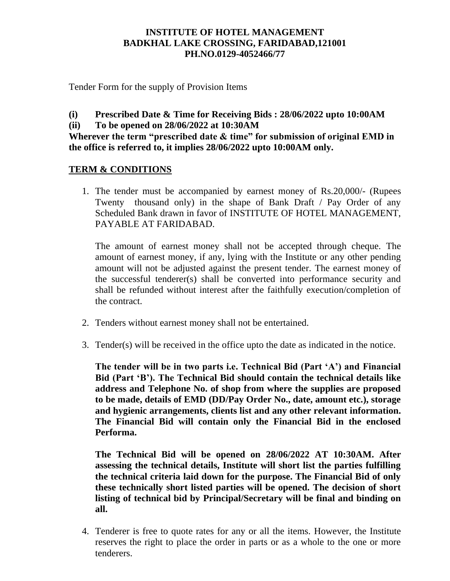## **INSTITUTE OF HOTEL MANAGEMENT BADKHAL LAKE CROSSING, FARIDABAD,121001 PH.NO.0129-4052466/77**

Tender Form for the supply of Provision Items

- **(i) Prescribed Date & Time for Receiving Bids : 28/06/2022 upto 10:00AM**
- **(ii) To be opened on 28/06/2022 at 10:30AM**

**Wherever the term "prescribed date & time" for submission of original EMD in the office is referred to, it implies 28/06/2022 upto 10:00AM only.**

## **TERM & CONDITIONS**

1. The tender must be accompanied by earnest money of Rs.20,000/- (Rupees Twenty thousand only) in the shape of Bank Draft / Pay Order of any Scheduled Bank drawn in favor of INSTITUTE OF HOTEL MANAGEMENT, PAYABLE AT FARIDABAD.

The amount of earnest money shall not be accepted through cheque. The amount of earnest money, if any, lying with the Institute or any other pending amount will not be adjusted against the present tender. The earnest money of the successful tenderer(s) shall be converted into performance security and shall be refunded without interest after the faithfully execution/completion of the contract.

- 2. Tenders without earnest money shall not be entertained.
- 3. Tender(s) will be received in the office upto the date as indicated in the notice.

**The tender will be in two parts i.e. Technical Bid (Part 'A') and Financial Bid (Part 'B'). The Technical Bid should contain the technical details like address and Telephone No. of shop from where the supplies are proposed to be made, details of EMD (DD/Pay Order No., date, amount etc.), storage and hygienic arrangements, clients list and any other relevant information. The Financial Bid will contain only the Financial Bid in the enclosed Performa.** 

**The Technical Bid will be opened on 28/06/2022 AT 10:30AM. After assessing the technical details, Institute will short list the parties fulfilling the technical criteria laid down for the purpose. The Financial Bid of only these technically short listed parties will be opened. The decision of short listing of technical bid by Principal/Secretary will be final and binding on all.** 

4. Tenderer is free to quote rates for any or all the items. However, the Institute reserves the right to place the order in parts or as a whole to the one or more tenderers.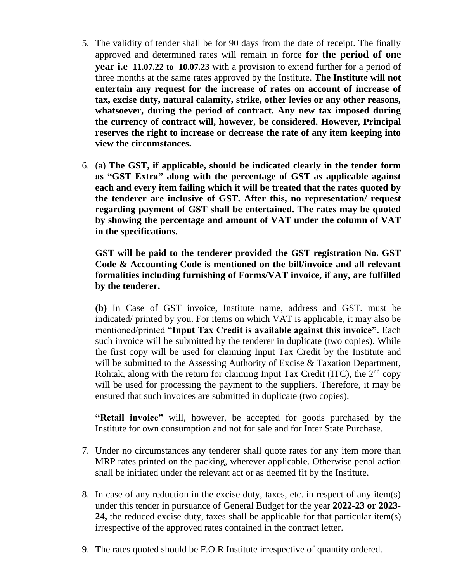- 5. The validity of tender shall be for 90 days from the date of receipt. The finally approved and determined rates will remain in force **for the period of one year i.e 11.07.22 to 10.07.23** with a provision to extend further for a period of three months at the same rates approved by the Institute. **The Institute will not entertain any request for the increase of rates on account of increase of tax, excise duty, natural calamity, strike, other levies or any other reasons, whatsoever, during the period of contract. Any new tax imposed during the currency of contract will, however, be considered. However, Principal reserves the right to increase or decrease the rate of any item keeping into view the circumstances.**
- 6. (a) **The GST, if applicable, should be indicated clearly in the tender form as "GST Extra" along with the percentage of GST as applicable against each and every item failing which it will be treated that the rates quoted by the tenderer are inclusive of GST. After this, no representation/ request regarding payment of GST shall be entertained. The rates may be quoted by showing the percentage and amount of VAT under the column of VAT in the specifications.**

**GST will be paid to the tenderer provided the GST registration No. GST Code & Accounting Code is mentioned on the bill/invoice and all relevant formalities including furnishing of Forms/VAT invoice, if any, are fulfilled by the tenderer.**

**(b)** In Case of GST invoice, Institute name, address and GST. must be indicated/ printed by you. For items on which VAT is applicable, it may also be mentioned/printed "**Input Tax Credit is available against this invoice".** Each such invoice will be submitted by the tenderer in duplicate (two copies). While the first copy will be used for claiming Input Tax Credit by the Institute and will be submitted to the Assessing Authority of Excise & Taxation Department, Rohtak, along with the return for claiming Input Tax Credit (ITC), the  $2<sup>nd</sup>$  copy will be used for processing the payment to the suppliers. Therefore, it may be ensured that such invoices are submitted in duplicate (two copies).

**"Retail invoice"** will, however, be accepted for goods purchased by the Institute for own consumption and not for sale and for Inter State Purchase.

- 7. Under no circumstances any tenderer shall quote rates for any item more than MRP rates printed on the packing, wherever applicable. Otherwise penal action shall be initiated under the relevant act or as deemed fit by the Institute.
- 8. In case of any reduction in the excise duty, taxes, etc. in respect of any item(s) under this tender in pursuance of General Budget for the year **2022-23 or 2023- 24,** the reduced excise duty, taxes shall be applicable for that particular item(s) irrespective of the approved rates contained in the contract letter.
- 9. The rates quoted should be F.O.R Institute irrespective of quantity ordered.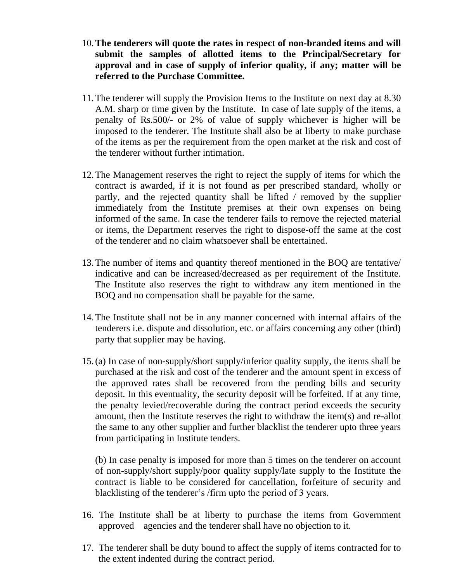- 10.**The tenderers will quote the rates in respect of non-branded items and will submit the samples of allotted items to the Principal/Secretary for approval and in case of supply of inferior quality, if any; matter will be referred to the Purchase Committee.**
- 11.The tenderer will supply the Provision Items to the Institute on next day at 8.30 A.M. sharp or time given by the Institute. In case of late supply of the items, a penalty of Rs.500/- or 2% of value of supply whichever is higher will be imposed to the tenderer. The Institute shall also be at liberty to make purchase of the items as per the requirement from the open market at the risk and cost of the tenderer without further intimation.
- 12.The Management reserves the right to reject the supply of items for which the contract is awarded, if it is not found as per prescribed standard, wholly or partly, and the rejected quantity shall be lifted / removed by the supplier immediately from the Institute premises at their own expenses on being informed of the same. In case the tenderer fails to remove the rejected material or items, the Department reserves the right to dispose-off the same at the cost of the tenderer and no claim whatsoever shall be entertained.
- 13.The number of items and quantity thereof mentioned in the BOQ are tentative/ indicative and can be increased/decreased as per requirement of the Institute. The Institute also reserves the right to withdraw any item mentioned in the BOQ and no compensation shall be payable for the same.
- 14.The Institute shall not be in any manner concerned with internal affairs of the tenderers i.e. dispute and dissolution, etc. or affairs concerning any other (third) party that supplier may be having.
- 15.(a) In case of non-supply/short supply/inferior quality supply, the items shall be purchased at the risk and cost of the tenderer and the amount spent in excess of the approved rates shall be recovered from the pending bills and security deposit. In this eventuality, the security deposit will be forfeited. If at any time, the penalty levied/recoverable during the contract period exceeds the security amount, then the Institute reserves the right to withdraw the item(s) and re-allot the same to any other supplier and further blacklist the tenderer upto three years from participating in Institute tenders.

(b) In case penalty is imposed for more than 5 times on the tenderer on account of non-supply/short supply/poor quality supply/late supply to the Institute the contract is liable to be considered for cancellation, forfeiture of security and blacklisting of the tenderer's /firm upto the period of 3 years.

- 16. The Institute shall be at liberty to purchase the items from Government approved agencies and the tenderer shall have no objection to it.
- 17. The tenderer shall be duty bound to affect the supply of items contracted for to the extent indented during the contract period.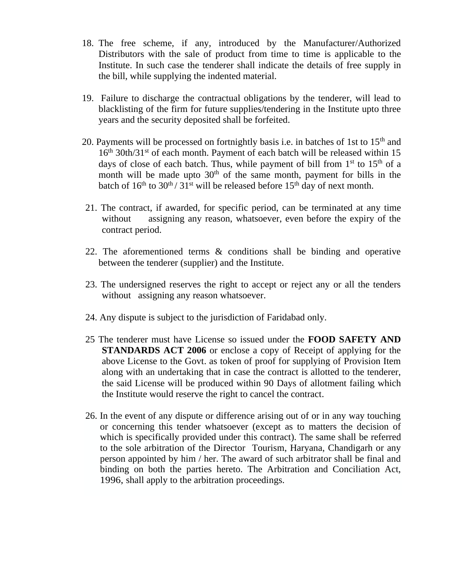- 18. The free scheme, if any, introduced by the Manufacturer/Authorized Distributors with the sale of product from time to time is applicable to the Institute. In such case the tenderer shall indicate the details of free supply in the bill, while supplying the indented material.
- 19. Failure to discharge the contractual obligations by the tenderer, will lead to blacklisting of the firm for future supplies/tendering in the Institute upto three years and the security deposited shall be forfeited.
- 20. Payments will be processed on fortnightly basis i.e. in batches of 1st to  $15<sup>th</sup>$  and 16<sup>th</sup> 30th/31<sup>st</sup> of each month. Payment of each batch will be released within 15 days of close of each batch. Thus, while payment of bill from  $1<sup>st</sup>$  to  $15<sup>th</sup>$  of a month will be made upto  $30<sup>th</sup>$  of the same month, payment for bills in the batch of  $16<sup>th</sup>$  to  $30<sup>th</sup>$  /  $31<sup>st</sup>$  will be released before  $15<sup>th</sup>$  day of next month.
- 21. The contract, if awarded, for specific period, can be terminated at any time without assigning any reason, whatsoever, even before the expiry of the contract period.
- 22. The aforementioned terms & conditions shall be binding and operative between the tenderer (supplier) and the Institute.
- 23. The undersigned reserves the right to accept or reject any or all the tenders without assigning any reason whatsoever.
- 24. Any dispute is subject to the jurisdiction of Faridabad only.
- 25 The tenderer must have License so issued under the **FOOD SAFETY AND STANDARDS ACT 2006** or enclose a copy of Receipt of applying for the above License to the Govt. as token of proof for supplying of Provision Item along with an undertaking that in case the contract is allotted to the tenderer, the said License will be produced within 90 Days of allotment failing which the Institute would reserve the right to cancel the contract.
- 26. In the event of any dispute or difference arising out of or in any way touching or concerning this tender whatsoever (except as to matters the decision of which is specifically provided under this contract). The same shall be referred to the sole arbitration of the Director Tourism, Haryana, Chandigarh or any person appointed by him / her. The award of such arbitrator shall be final and binding on both the parties hereto. The Arbitration and Conciliation Act, 1996, shall apply to the arbitration proceedings.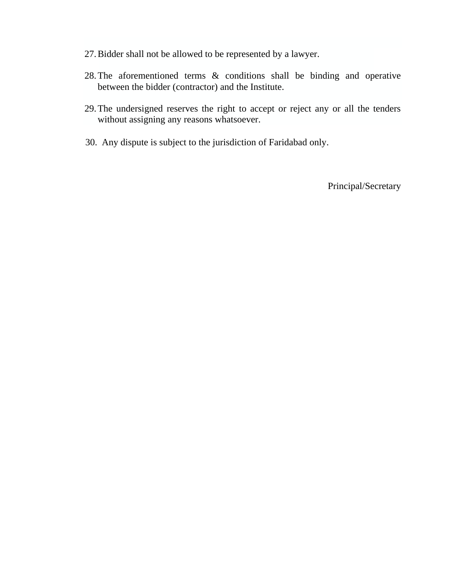- 27.Bidder shall not be allowed to be represented by a lawyer.
- 28.The aforementioned terms & conditions shall be binding and operative between the bidder (contractor) and the Institute.
- 29.The undersigned reserves the right to accept or reject any or all the tenders without assigning any reasons whatsoever.
- 30. Any dispute is subject to the jurisdiction of Faridabad only.

Principal/Secretary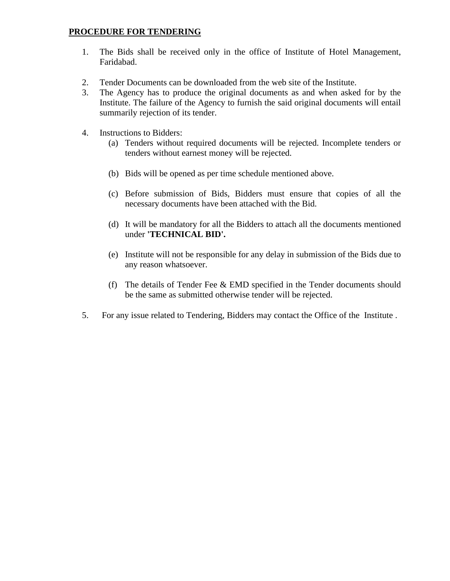### **PROCEDURE FOR TENDERING**

- 1. The Bids shall be received only in the office of Institute of Hotel Management, Faridabad.
- 2. Tender Documents can be downloaded from the web site of the Institute.
- 3. The Agency has to produce the original documents as and when asked for by the Institute. The failure of the Agency to furnish the said original documents will entail summarily rejection of its tender.
- 4. Instructions to Bidders:
	- (a) Tenders without required documents will be rejected. Incomplete tenders or tenders without earnest money will be rejected.
	- (b) Bids will be opened as per time schedule mentioned above.
	- (c) Before submission of Bids, Bidders must ensure that copies of all the necessary documents have been attached with the Bid.
	- (d) It will be mandatory for all the Bidders to attach all the documents mentioned under **'TECHNICAL BID'.**
	- (e) Institute will not be responsible for any delay in submission of the Bids due to any reason whatsoever.
	- (f) The details of Tender Fee & EMD specified in the Tender documents should be the same as submitted otherwise tender will be rejected.
- 5. For any issue related to Tendering, Bidders may contact the Office of the Institute .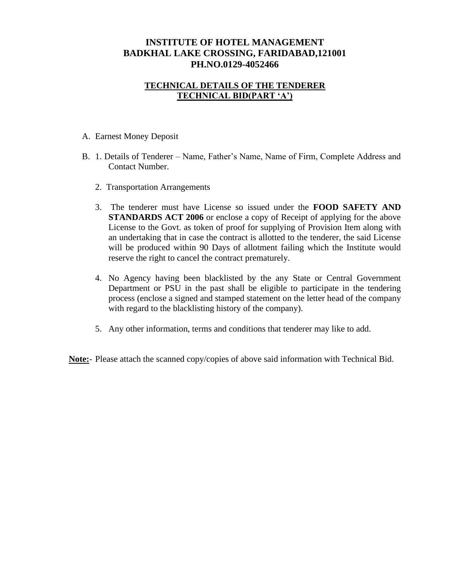## **INSTITUTE OF HOTEL MANAGEMENT BADKHAL LAKE CROSSING, FARIDABAD,121001 PH.NO.0129-4052466**

### **TECHNICAL DETAILS OF THE TENDERER TECHNICAL BID(PART 'A')**

### A. Earnest Money Deposit

- B. 1. Details of Tenderer Name, Father's Name, Name of Firm, Complete Address and Contact Number.
	- 2. Transportation Arrangements
	- 3. The tenderer must have License so issued under the **FOOD SAFETY AND STANDARDS ACT 2006** or enclose a copy of Receipt of applying for the above License to the Govt. as token of proof for supplying of Provision Item along with an undertaking that in case the contract is allotted to the tenderer, the said License will be produced within 90 Days of allotment failing which the Institute would reserve the right to cancel the contract prematurely.
	- 4. No Agency having been blacklisted by the any State or Central Government Department or PSU in the past shall be eligible to participate in the tendering process (enclose a signed and stamped statement on the letter head of the company with regard to the blacklisting history of the company).
	- 5. Any other information, terms and conditions that tenderer may like to add.

**Note:**- Please attach the scanned copy/copies of above said information with Technical Bid.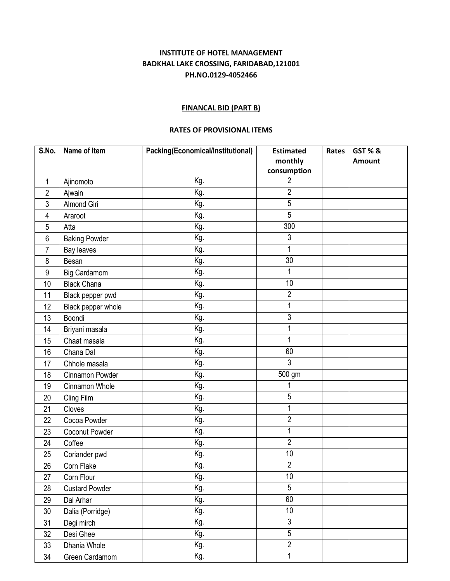### **INSTITUTE OF HOTEL MANAGEMENT BADKHAL LAKE CROSSING, FARIDABAD,121001 PH.NO.0129-4052466**

#### **FINANCAL BID (PART B)**

### **RATES OF PROVISIONAL ITEMS**

| S.No.          | Name of Item          | Packing(Economical/Institutional) | <b>Estimated</b>    | Rates | <b>GST % &amp;</b> |
|----------------|-----------------------|-----------------------------------|---------------------|-------|--------------------|
|                |                       |                                   | monthly             |       | Amount             |
|                |                       |                                   | consumption         |       |                    |
| 1              | Ajinomoto             | Kg.                               | $\overline{2}$      |       |                    |
| $\overline{c}$ | Ajwain                | Kg.                               | $\overline{2}$      |       |                    |
| 3              | Almond Giri           | Kg.                               | 5                   |       |                    |
| 4              | Araroot               | Kg.                               | 5                   |       |                    |
| 5              | Atta                  | Kg.                               | 300                 |       |                    |
| 6              | <b>Baking Powder</b>  | Kg.                               | $\sqrt{3}$          |       |                    |
| 7              | Bay leaves            | Kg.                               | 1                   |       |                    |
| 8              | Besan                 | Kg.                               | 30                  |       |                    |
| 9              | <b>Big Cardamom</b>   | Kg.                               | 1                   |       |                    |
| 10             | <b>Black Chana</b>    | Kg.                               | 10                  |       |                    |
| 11             | Black pepper pwd      | Kg.                               | $\overline{2}$      |       |                    |
| 12             | Black pepper whole    | Kg.                               | 1                   |       |                    |
| 13             | Boondi                | Kg.                               | 3                   |       |                    |
| 14             | Briyani masala        | Kg.                               | 1                   |       |                    |
| 15             | Chaat masala          | Kg.                               | 1                   |       |                    |
| 16             | Chana Dal             | Kg.                               | 60                  |       |                    |
| 17             | Chhole masala         | Kg.                               | $\overline{3}$      |       |                    |
| 18             | Cinnamon Powder       | Kg.                               | $\overline{500}$ gm |       |                    |
| 19             | Cinnamon Whole        | Kg.                               |                     |       |                    |
| 20             | Cling Film            | Kg.                               | 5                   |       |                    |
| 21             | Cloves                | Kg.                               | 1                   |       |                    |
| 22             | Cocoa Powder          | Kg.                               | $\overline{2}$      |       |                    |
| 23             | Coconut Powder        | Kg.                               | 1                   |       |                    |
| 24             | Coffee                | Kg.                               | $\overline{2}$      |       |                    |
| 25             | Coriander pwd         | Kg.                               | 10                  |       |                    |
| 26             | Corn Flake            | Kg.                               | $\overline{2}$      |       |                    |
| 27             | Corn Flour            | Kg.                               | 10                  |       |                    |
| 28             | <b>Custard Powder</b> | Kg.                               | 5                   |       |                    |
| 29             | Dal Arhar             | Kg.                               | 60                  |       |                    |
| 30             | Dalia (Porridge)      | Kg.                               | 10                  |       |                    |
| 31             | Degi mirch            | Kg.                               | $\overline{3}$      |       |                    |
| 32             | Desi Ghee             | Kg.                               | $\overline{5}$      |       |                    |
| 33             | Dhania Whole          | Kg.                               | $\overline{2}$      |       |                    |
| 34             | Green Cardamom        | Kg.                               | 1                   |       |                    |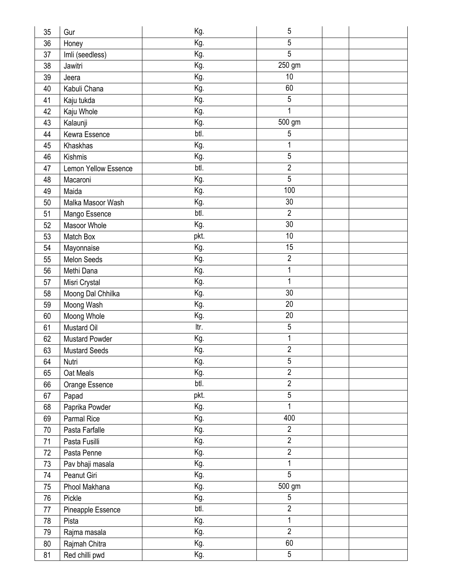| 35 | Gur                   | Kg.  | 5                   |  |
|----|-----------------------|------|---------------------|--|
| 36 | Honey                 | Kg.  | 5                   |  |
| 37 | Imli (seedless)       | Kg.  | $\overline{5}$      |  |
| 38 | Jawitri               | Kg.  | $\overline{250}$ gm |  |
| 39 | Jeera                 | Kg.  | 10                  |  |
| 40 | Kabuli Chana          | Kg.  | 60                  |  |
| 41 | Kaju tukda            | Kg.  | 5                   |  |
| 42 | Kaju Whole            | Kg.  |                     |  |
| 43 | Kalaunji              | Kg.  | $\overline{500}$ gm |  |
| 44 | Kewra Essence         | btl. | 5                   |  |
| 45 | Khaskhas              | Kg.  |                     |  |
| 46 | Kishmis               | Kg.  | $\overline{5}$      |  |
| 47 | Lemon Yellow Essence  | btl. | $\overline{2}$      |  |
| 48 | Macaroni              | Kg.  | $\overline{5}$      |  |
| 49 | Maida                 | Kg.  | 100                 |  |
| 50 | Malka Masoor Wash     | Kg.  | 30                  |  |
| 51 | Mango Essence         | btl. | $\overline{2}$      |  |
| 52 | Masoor Whole          | Kg.  | 30                  |  |
| 53 | Match Box             | pkt. | 10                  |  |
| 54 | Mayonnaise            | Kg.  | 15                  |  |
| 55 | Melon Seeds           | Kg.  | $\overline{2}$      |  |
| 56 | Methi Dana            | Kg.  |                     |  |
| 57 | Misri Crystal         | Kg.  |                     |  |
| 58 | Moong Dal Chhilka     | Kg.  | $\overline{30}$     |  |
| 59 | Moong Wash            | Kg.  | 20                  |  |
| 60 | Moong Whole           | Kg.  | 20                  |  |
| 61 | Mustard Oil           | ltr. | 5                   |  |
| 62 | <b>Mustard Powder</b> | Kg.  |                     |  |
| 63 | <b>Mustard Seeds</b>  | Kg.  | $\overline{2}$      |  |
| 64 | Nutri                 | Kg.  | $\overline{5}$      |  |
| 65 | Oat Meals             | Kg.  | $\overline{2}$      |  |
| 66 | Orange Essence        | btl. | $\overline{2}$      |  |
| 67 | Papad                 | pkt. | $\overline{5}$      |  |
| 68 | Paprika Powder        | Kg.  |                     |  |
| 69 | <b>Parmal Rice</b>    | Kg.  | 400                 |  |
| 70 | Pasta Farfalle        | Kg.  | $\overline{2}$      |  |
| 71 | Pasta Fusilli         | Kg.  | $\overline{2}$      |  |
| 72 | Pasta Penne           | Kg.  | $\overline{2}$      |  |
| 73 | Pav bhaji masala      | Kg.  | 1                   |  |
| 74 | Peanut Giri           | Kg.  | 5                   |  |
| 75 | Phool Makhana         | Kg.  | 500 gm              |  |
| 76 | Pickle                | Kg.  | 5                   |  |
| 77 | Pineapple Essence     | btl. | $\overline{2}$      |  |
| 78 | Pista                 | Kg.  | 1                   |  |
| 79 | Rajma masala          | Kg.  | $\overline{2}$      |  |
| 80 | Rajmah Chitra         | Kg.  | 60                  |  |
| 81 | Red chilli pwd        | Kg.  | 5                   |  |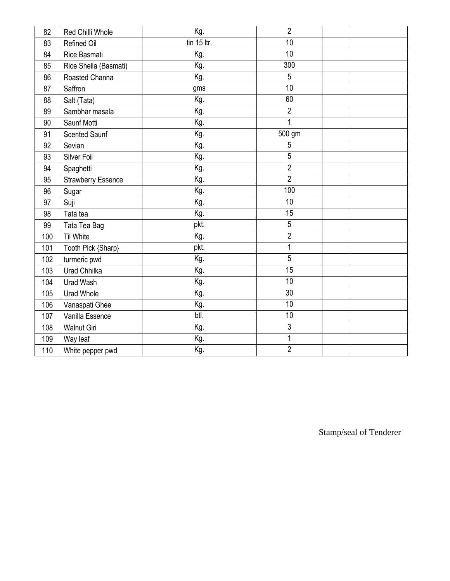| 82  | Red Chilli Whole          | Kg.           | 2               |  |
|-----|---------------------------|---------------|-----------------|--|
| 83  | Refined Oil               | $tin$ 15 ltr. | 10              |  |
| 84  | Rice Basmati              | Kg.           | $\overline{10}$ |  |
| 85  | Rice Shella (Basmati)     | Kg.           | 300             |  |
| 86  | Roasted Channa            | Kg.           | 5               |  |
| 87  | Saffron                   | gms           | 10              |  |
| 88  | Salt (Tata)               | Kg.           | 60              |  |
| 89  | Sambhar masala            | Kg.           | $\overline{2}$  |  |
| 90  | Saunf Motti               | Kg.           | 1               |  |
| 91  | <b>Scented Saunf</b>      | Kg.           | 500 gm          |  |
| 92  | Sevian                    | Kg.           | 5               |  |
| 93  | Silver Foil               | Kg.           | $\overline{5}$  |  |
| 94  | Spaghetti                 | Kg.           | $\overline{2}$  |  |
| 95  | <b>Strawberry Essence</b> | Kg.           | $\overline{2}$  |  |
| 96  | Sugar                     | Kg.           | 100             |  |
| 97  | Suji                      | Kg.           | 10              |  |
| 98  | Tata tea                  | Kg.           | $\overline{15}$ |  |
| 99  | Tata Tea Bag              | pkt.          | 5               |  |
| 100 | <b>Til White</b>          | Kg.           | $\overline{2}$  |  |
| 101 | Tooth Pick {Sharp}        | pkt.          | 1               |  |
| 102 | turmeric pwd              | Kg.           | 5               |  |
| 103 | Urad Chhilka              | Kg.           | 15              |  |
| 104 | Urad Wash                 | Kg.           | 10              |  |
| 105 | <b>Urad Whole</b>         | Kg.           | 30              |  |
| 106 | Vanaspati Ghee            | Kg.           | 10              |  |
| 107 | Vanilla Essence           | btl.          | 10              |  |
| 108 | <b>Walnut Giri</b>        | Kg.           | 3               |  |
| 109 | Way leaf                  | Kg.           | 1               |  |
| 110 | White pepper pwd          | Kg.           | $\overline{2}$  |  |

Stamp/seal of Tenderer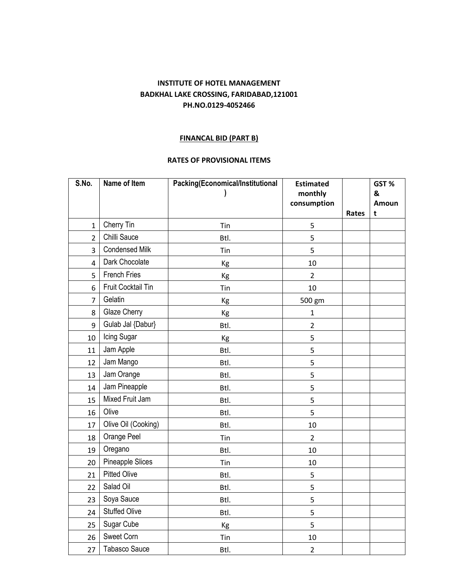### **INSTITUTE OF HOTEL MANAGEMENT BADKHAL LAKE CROSSING, FARIDABAD,121001 PH.NO.0129-4052466**

### **FINANCAL BID (PART B)**

### **RATES OF PROVISIONAL ITEMS**

| S.No.          | Name of Item            | Packing(Economical/Institutional | <b>Estimated</b> |       | GST%              |
|----------------|-------------------------|----------------------------------|------------------|-------|-------------------|
|                |                         |                                  | monthly          |       | &                 |
|                |                         |                                  | consumption      | Rates | <b>Amoun</b><br>t |
| $\mathbf{1}$   | Cherry Tin              | Tin                              | 5                |       |                   |
| $\overline{2}$ | Chilli Sauce            | Btl.                             | 5                |       |                   |
| 3              | <b>Condensed Milk</b>   |                                  |                  |       |                   |
|                | Dark Chocolate          | Tin                              | 5                |       |                   |
| 4              | <b>French Fries</b>     | Kg                               | 10               |       |                   |
| 5              |                         | Kg                               | $\overline{2}$   |       |                   |
| 6              | Fruit Cocktail Tin      | Tin                              | 10               |       |                   |
| 7              | Gelatin                 | Kg                               | 500 gm           |       |                   |
| 8              | Glaze Cherry            | Kg                               | $\mathbf{1}$     |       |                   |
| 9              | Gulab Jal {Dabur}       | Btl.                             | $\overline{2}$   |       |                   |
| 10             | Icing Sugar             | Kg                               | 5                |       |                   |
| 11             | Jam Apple               | Btl.                             | 5                |       |                   |
| 12             | Jam Mango               | Btl.                             | 5                |       |                   |
| 13             | Jam Orange              | Btl.                             | 5                |       |                   |
| 14             | Jam Pineapple           | Btl.                             | 5                |       |                   |
| 15             | Mixed Fruit Jam         | Btl.                             | 5                |       |                   |
| 16             | Olive                   | Btl.                             | 5                |       |                   |
| 17             | Olive Oil (Cooking)     | Btl.                             | 10               |       |                   |
| 18             | Orange Peel             | Tin                              | $\overline{2}$   |       |                   |
| 19             | Oregano                 | Btl.                             | 10               |       |                   |
| 20             | <b>Pineapple Slices</b> | Tin                              | 10               |       |                   |
| 21             | <b>Pitted Olive</b>     | Btl.                             | 5                |       |                   |
| 22             | Salad Oil               | Btl.                             | 5                |       |                   |
| 23             | Soya Sauce              | Btl.                             | 5                |       |                   |
| 24             | <b>Stuffed Olive</b>    | Btl.                             | 5                |       |                   |
| 25             | Sugar Cube              | Kg                               | 5                |       |                   |
| 26             | Sweet Corn              | Tin                              | 10               |       |                   |
| 27             | <b>Tabasco Sauce</b>    | Btl.                             | $\overline{2}$   |       |                   |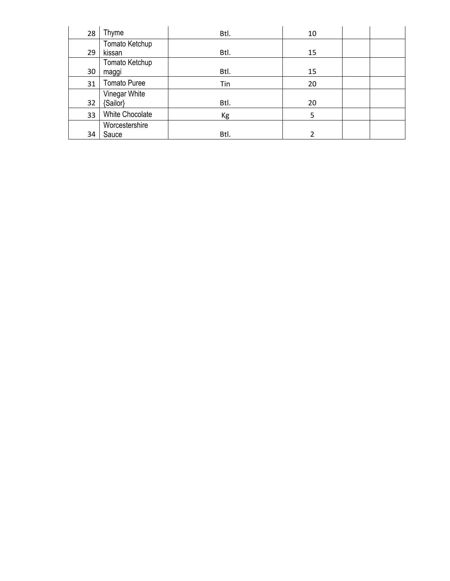| 28 | Thyme               | Btl. | 10 |  |
|----|---------------------|------|----|--|
|    | Tomato Ketchup      |      |    |  |
| 29 | kissan              | Btl. | 15 |  |
|    | Tomato Ketchup      |      |    |  |
| 30 | maggi               | Btl. | 15 |  |
| 31 | <b>Tomato Puree</b> | Tin  | 20 |  |
|    | Vinegar White       |      |    |  |
| 32 | {Sailor}            | Btl. | 20 |  |
| 33 | White Chocolate     | Kg   | 5  |  |
|    | Worcestershire      |      |    |  |
| 34 | Sauce               | Btl. |    |  |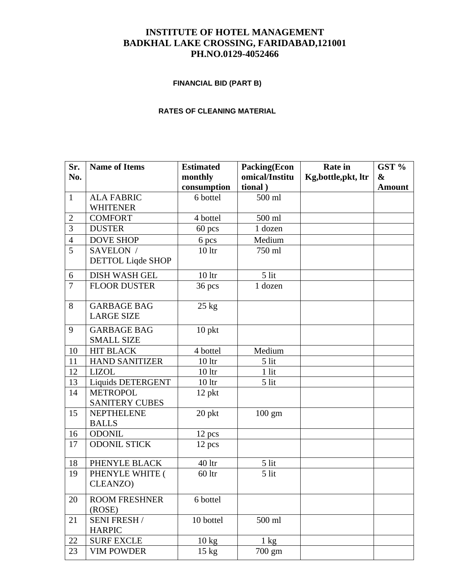## **INSTITUTE OF HOTEL MANAGEMENT BADKHAL LAKE CROSSING, FARIDABAD,121001 PH.NO.0129-4052466**

# **FINANCIAL BID (PART B)**

#### **RATES OF CLEANING MATERIAL**

| Sr.              | <b>Name of Items</b>           | <b>Estimated</b> | <b>Packing(Econ</b> | <b>Rate</b> in       | GST %             |
|------------------|--------------------------------|------------------|---------------------|----------------------|-------------------|
| No.              |                                | monthly          | omical/Institu      | Kg, bottle, pkt, ltr | $\boldsymbol{\&}$ |
|                  |                                | consumption      | tional)             |                      | <b>Amount</b>     |
| $\mathbf{1}$     | <b>ALA FABRIC</b>              | 6 bottel         | 500 ml              |                      |                   |
|                  | <b>WHITENER</b>                |                  |                     |                      |                   |
| $\boldsymbol{2}$ | <b>COMFORT</b>                 | 4 bottel         | 500 ml              |                      |                   |
| 3                | <b>DUSTER</b>                  | $60$ pcs         | 1 dozen             |                      |                   |
| $\overline{4}$   | <b>DOVE SHOP</b>               | 6 pcs            | Medium              |                      |                   |
| 5                | SAVELON /                      | 10 <sup>1</sup>  | 750 ml              |                      |                   |
|                  | <b>DETTOL Liqde SHOP</b>       |                  |                     |                      |                   |
| 6                | <b>DISH WASH GEL</b>           | 10 <sup>1</sup>  | 5 lit               |                      |                   |
| $\overline{7}$   | <b>FLOOR DUSTER</b>            | 36 pcs           | 1 dozen             |                      |                   |
|                  |                                |                  |                     |                      |                   |
| 8                | <b>GARBAGE BAG</b>             | $25$ kg          |                     |                      |                   |
|                  | <b>LARGE SIZE</b>              |                  |                     |                      |                   |
| 9                | <b>GARBAGE BAG</b>             | 10 pkt           |                     |                      |                   |
|                  | <b>SMALL SIZE</b>              |                  |                     |                      |                   |
| 10               | <b>HIT BLACK</b>               | 4 bottel         | Medium              |                      |                   |
| 11               | <b>HAND SANITIZER</b>          | 10 <sup>1</sup>  | 5 lit               |                      |                   |
| 12               | <b>LIZOL</b>                   | 10 <sup>1</sup>  | $1$ lit             |                      |                   |
| 13               | Liquids DETERGENT              | 10 <sup>1</sup>  | 5 lit               |                      |                   |
| 14               | <b>METROPOL</b>                | 12 pkt           |                     |                      |                   |
|                  | <b>SANITERY CUBES</b>          |                  |                     |                      |                   |
| 15               | <b>NEPTHELENE</b>              | 20 pkt           | $100 \text{ gm}$    |                      |                   |
|                  | <b>BALLS</b>                   |                  |                     |                      |                   |
| 16               | <b>ODONIL</b>                  | 12 pcs           |                     |                      |                   |
| 17               | <b>ODONIL STICK</b>            | 12 pcs           |                     |                      |                   |
| 18               | PHENYLE BLACK                  | 40 ltr           | 5 lit               |                      |                   |
| 19               | PHENYLE WHITE (                | $60$ ltr         | 5 lit               |                      |                   |
|                  | CLEANZO)                       |                  |                     |                      |                   |
|                  |                                |                  |                     |                      |                   |
| 20               | <b>ROOM FRESHNER</b><br>(ROSE) | 6 bottel         |                     |                      |                   |
| 21               | <b>SENI FRESH /</b>            | 10 bottel        | 500 ml              |                      |                   |
|                  | <b>HARPIC</b>                  |                  |                     |                      |                   |
| 22               | <b>SURF EXCLE</b>              | 10 kg            | $1 \text{ kg}$      |                      |                   |
| 23               | <b>VIM POWDER</b>              | 15 kg            | 700 gm              |                      |                   |
|                  |                                |                  |                     |                      |                   |